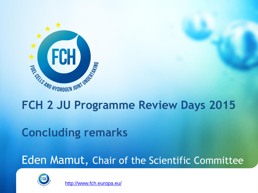

# **FCH 2 JU Programme Review Days 2015**

# **Concluding remarks**

## Eden Mamut, Chair of the Scientific Committee



<http://www.fch.europa.eu/>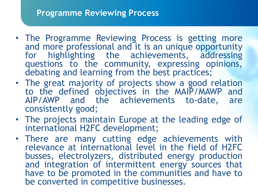#### **Programme Reviewing Process**

- The Programme Reviewing Process is getting more and more professional and it is an unique opportunity for highlighting the achievements, addressing questions to the community, expressing opinions, debating and learning from the best practices;
- The great majority of projects show a good relation to the defined objectives in the MAIP/MAWP and AIP/AWP and the achievements to-date, are consistently good;
- The projects maintain Europe at the leading edge of international H2FC development;
- There are many cutting edge achievements with relevance at international level in the field of H2FC busses, electrolyzers, distributed energy production and integration of intermittent energy sources that have to be promoted in the communities and have to be converted in competitive businesses.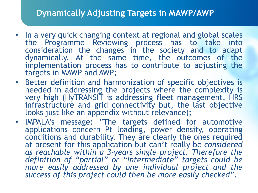### **Dynamically Adjusting Targets in MAWP/AWP**

- In a very quick changing context at regional and global scales the Programme Reviewing process has to take into consideration the changes in the society and to adapt dynamically. At the same time, the outcomes of the implementation process has to contribute to adjusting the targets in MAWP and AWP;
- Better definition and harmonization of specific objectives is needed in addressing the projects where the complexity is very high (HyTRANSIT is addressing fleet management, HRS infrastructure and grid connectivity but, the last objective looks just like an appendix without relevance):
- IMPALA's message: "The targets defined for automotive applications concern Pt loading, power density, operating conditions and durability. They are clearly the ones required at present for this application but can't really be *considered as reachable within a 3-years single project. Therefore the definition of "partial" or "intermediate" targets could be more easily addressed by one individual project and the success of this project could then be more easily checked"*.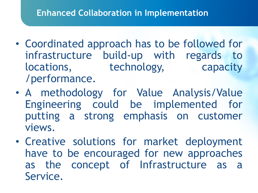### **Enhanced Collaboration in Implementation**

- Coordinated approach has to be followed for infrastructure build-up with regards to locations, technology, capacity /performance.
- A methodology for Value Analysis/Value Engineering could be implemented for putting a strong emphasis on customer views.
- Creative solutions for market deployment have to be encouraged for new approaches as the concept of Infrastructure as a Service.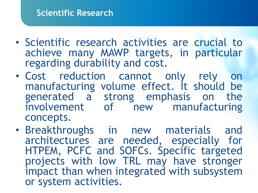- Scientific research activities are crucial to achieve many MAWP targets, in particular regarding durability and cost.
- Cost reduction cannot only rely on manufacturing volume effect. It should be generated a strong emphasis on the involvement of new manufacturing concepts.
- Breakthroughs in new materials and architectures are needed, especially for HTPEM, PCFC and SOFCs. Specific targeted projects with low TRL may have stronger impact than when integrated with subsystem or system activities.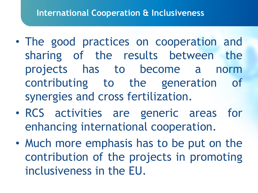- The good practices on cooperation and sharing of the results between the projects has to become a norm contributing to the generation of synergies and cross fertilization.
- RCS activities are generic areas for enhancing international cooperation.
- Much more emphasis has to be put on the contribution of the projects in promoting inclusiveness in the EU.